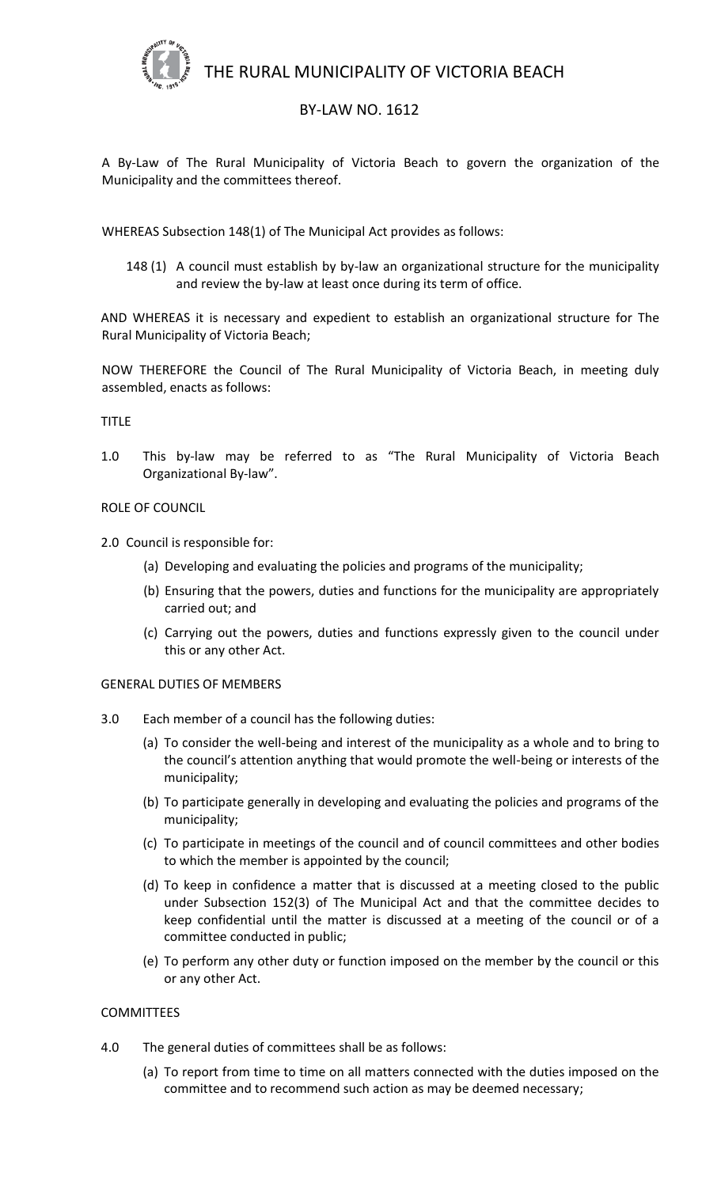THE RURAL MUNICIPALITY OF VICTORIA BEACH



# BY-LAW NO. 1612

A By-Law of The Rural Municipality of Victoria Beach to govern the organization of the Municipality and the committees thereof.

WHEREAS Subsection 148(1) of The Municipal Act provides as follows:

148 (1) A council must establish by by-law an organizational structure for the municipality and review the by-law at least once during its term of office.

AND WHEREAS it is necessary and expedient to establish an organizational structure for The Rural Municipality of Victoria Beach;

NOW THEREFORE the Council of The Rural Municipality of Victoria Beach, in meeting duly assembled, enacts as follows:

# TITLE

1.0 This by-law may be referred to as "The Rural Municipality of Victoria Beach Organizational By-law".

#### ROLE OF COUNCIL

2.0 Council is responsible for:

- (a) Developing and evaluating the policies and programs of the municipality;
- (b) Ensuring that the powers, duties and functions for the municipality are appropriately carried out; and
- (c) Carrying out the powers, duties and functions expressly given to the council under this or any other Act.

# GENERAL DUTIES OF MEMBERS

- 3.0 Each member of a council has the following duties:
	- (a) To consider the well-being and interest of the municipality as a whole and to bring to the council's attention anything that would promote the well-being or interests of the municipality;
	- (b) To participate generally in developing and evaluating the policies and programs of the municipality;
	- (c) To participate in meetings of the council and of council committees and other bodies to which the member is appointed by the council;
	- (d) To keep in confidence a matter that is discussed at a meeting closed to the public under Subsection 152(3) of The Municipal Act and that the committee decides to keep confidential until the matter is discussed at a meeting of the council or of a committee conducted in public;
	- (e) To perform any other duty or function imposed on the member by the council or this or any other Act.

# COMMITTEES

- 4.0 The general duties of committees shall be as follows:
	- (a) To report from time to time on all matters connected with the duties imposed on the committee and to recommend such action as may be deemed necessary;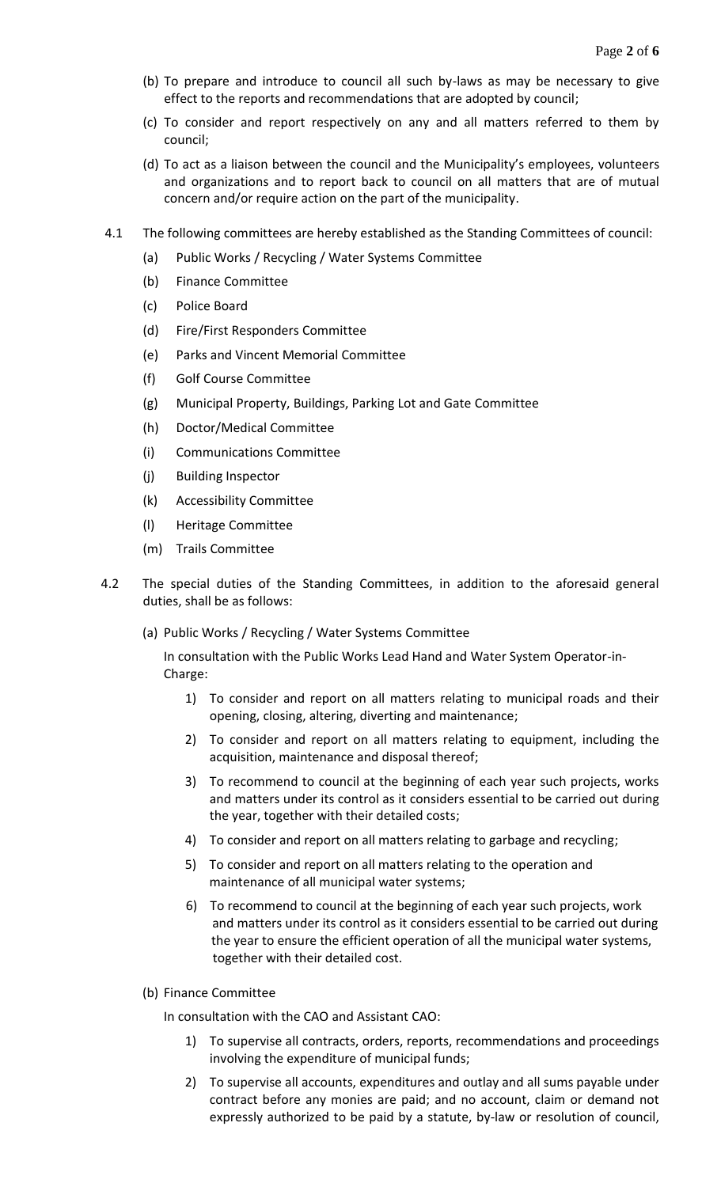- (b) To prepare and introduce to council all such by-laws as may be necessary to give effect to the reports and recommendations that are adopted by council;
- (c) To consider and report respectively on any and all matters referred to them by council;
- (d) To act as a liaison between the council and the Municipality's employees, volunteers and organizations and to report back to council on all matters that are of mutual concern and/or require action on the part of the municipality.
- 4.1 The following committees are hereby established as the Standing Committees of council:
	- (a) Public Works / Recycling / Water Systems Committee
	- (b) Finance Committee
	- (c) Police Board
	- (d) Fire/First Responders Committee
	- (e) Parks and Vincent Memorial Committee
	- (f) Golf Course Committee
	- (g) Municipal Property, Buildings, Parking Lot and Gate Committee
	- (h) Doctor/Medical Committee
	- (i) Communications Committee
	- (j) Building Inspector
	- (k) Accessibility Committee
	- (l) Heritage Committee
	- (m) Trails Committee
- 4.2 The special duties of the Standing Committees, in addition to the aforesaid general duties, shall be as follows:
	- (a) Public Works / Recycling / Water Systems Committee

In consultation with the Public Works Lead Hand and Water System Operator-in-Charge:

- 1) To consider and report on all matters relating to municipal roads and their opening, closing, altering, diverting and maintenance;
- 2) To consider and report on all matters relating to equipment, including the acquisition, maintenance and disposal thereof;
- 3) To recommend to council at the beginning of each year such projects, works and matters under its control as it considers essential to be carried out during the year, together with their detailed costs;
- 4) To consider and report on all matters relating to garbage and recycling;
- 5) To consider and report on all matters relating to the operation and maintenance of all municipal water systems;
- 6) To recommend to council at the beginning of each year such projects, work and matters under its control as it considers essential to be carried out during the year to ensure the efficient operation of all the municipal water systems, together with their detailed cost.
- (b) Finance Committee

In consultation with the CAO and Assistant CAO:

- 1) To supervise all contracts, orders, reports, recommendations and proceedings involving the expenditure of municipal funds;
- 2) To supervise all accounts, expenditures and outlay and all sums payable under contract before any monies are paid; and no account, claim or demand not expressly authorized to be paid by a statute, by-law or resolution of council,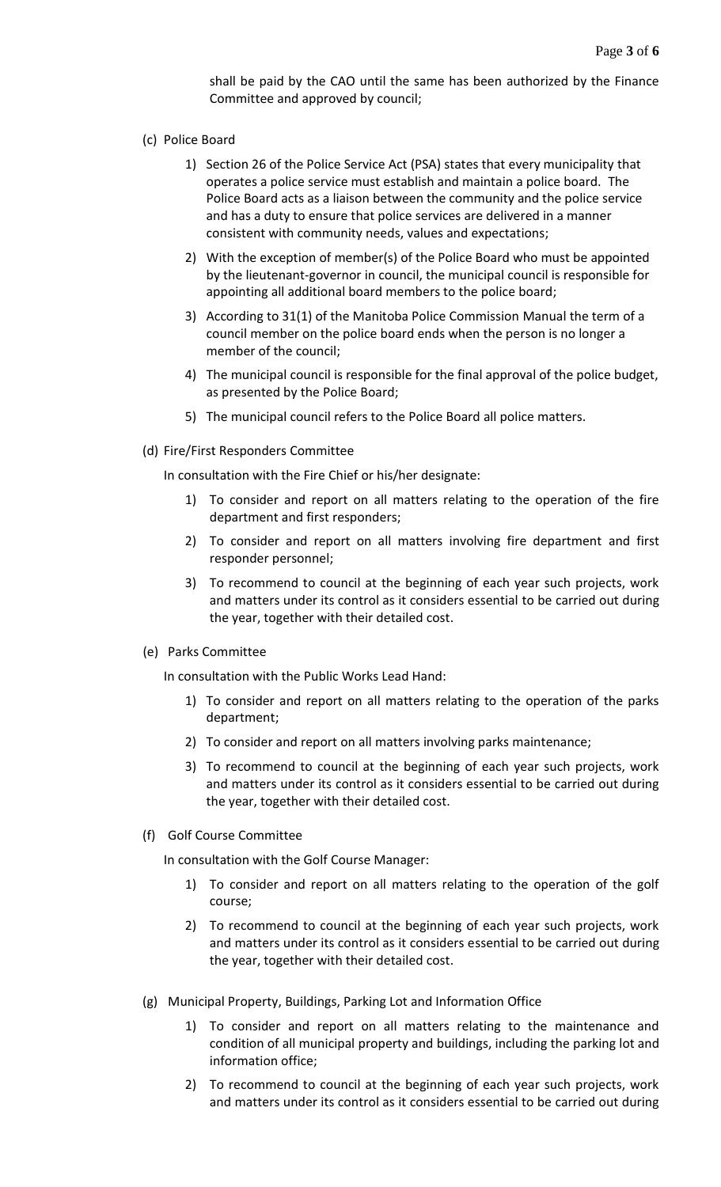shall be paid by the CAO until the same has been authorized by the Finance Committee and approved by council;

# (c) Police Board

- 1) Section 26 of the Police Service Act (PSA) states that every municipality that operates a police service must establish and maintain a police board. The Police Board acts as a liaison between the community and the police service and has a duty to ensure that police services are delivered in a manner consistent with community needs, values and expectations;
- 2) With the exception of member(s) of the Police Board who must be appointed by the lieutenant-governor in council, the municipal council is responsible for appointing all additional board members to the police board;
- 3) According to 31(1) of the Manitoba Police Commission Manual the term of a council member on the police board ends when the person is no longer a member of the council;
- 4) The municipal council is responsible for the final approval of the police budget, as presented by the Police Board;
- 5) The municipal council refers to the Police Board all police matters.
- (d) Fire/First Responders Committee

In consultation with the Fire Chief or his/her designate:

- 1) To consider and report on all matters relating to the operation of the fire department and first responders;
- 2) To consider and report on all matters involving fire department and first responder personnel;
- 3) To recommend to council at the beginning of each year such projects, work and matters under its control as it considers essential to be carried out during the year, together with their detailed cost.
- (e) Parks Committee

In consultation with the Public Works Lead Hand:

- 1) To consider and report on all matters relating to the operation of the parks department;
- 2) To consider and report on all matters involving parks maintenance;
- 3) To recommend to council at the beginning of each year such projects, work and matters under its control as it considers essential to be carried out during the year, together with their detailed cost.
- (f) Golf Course Committee

In consultation with the Golf Course Manager:

- 1) To consider and report on all matters relating to the operation of the golf course;
- 2) To recommend to council at the beginning of each year such projects, work and matters under its control as it considers essential to be carried out during the year, together with their detailed cost.
- (g) Municipal Property, Buildings, Parking Lot and Information Office
	- 1) To consider and report on all matters relating to the maintenance and condition of all municipal property and buildings, including the parking lot and information office;
	- 2) To recommend to council at the beginning of each year such projects, work and matters under its control as it considers essential to be carried out during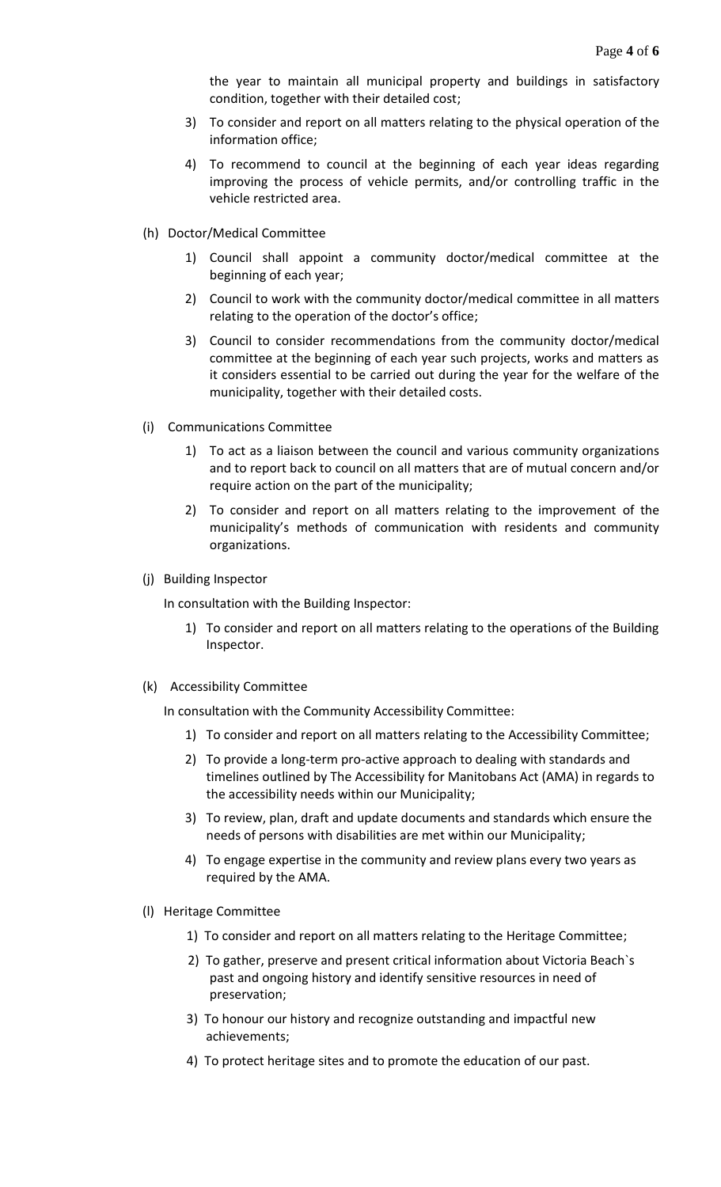the year to maintain all municipal property and buildings in satisfactory condition, together with their detailed cost;

- 3) To consider and report on all matters relating to the physical operation of the information office;
- 4) To recommend to council at the beginning of each year ideas regarding improving the process of vehicle permits, and/or controlling traffic in the vehicle restricted area.
- (h) Doctor/Medical Committee
	- 1) Council shall appoint a community doctor/medical committee at the beginning of each year;
	- 2) Council to work with the community doctor/medical committee in all matters relating to the operation of the doctor's office;
	- 3) Council to consider recommendations from the community doctor/medical committee at the beginning of each year such projects, works and matters as it considers essential to be carried out during the year for the welfare of the municipality, together with their detailed costs.
- (i) Communications Committee
	- 1) To act as a liaison between the council and various community organizations and to report back to council on all matters that are of mutual concern and/or require action on the part of the municipality;
	- 2) To consider and report on all matters relating to the improvement of the municipality's methods of communication with residents and community organizations.
- (j) Building Inspector

In consultation with the Building Inspector:

- 1) To consider and report on all matters relating to the operations of the Building Inspector.
- (k) Accessibility Committee

In consultation with the Community Accessibility Committee:

- 1) To consider and report on all matters relating to the Accessibility Committee;
- 2) To provide a long-term pro-active approach to dealing with standards and timelines outlined by The Accessibility for Manitobans Act (AMA) in regards to the accessibility needs within our Municipality;
- 3) To review, plan, draft and update documents and standards which ensure the needs of persons with disabilities are met within our Municipality;
- 4) To engage expertise in the community and review plans every two years as required by the AMA.
- (l) Heritage Committee
	- 1) To consider and report on all matters relating to the Heritage Committee;
	- 2) To gather, preserve and present critical information about Victoria Beach`s past and ongoing history and identify sensitive resources in need of preservation;
	- 3) To honour our history and recognize outstanding and impactful new achievements;
	- 4) To protect heritage sites and to promote the education of our past.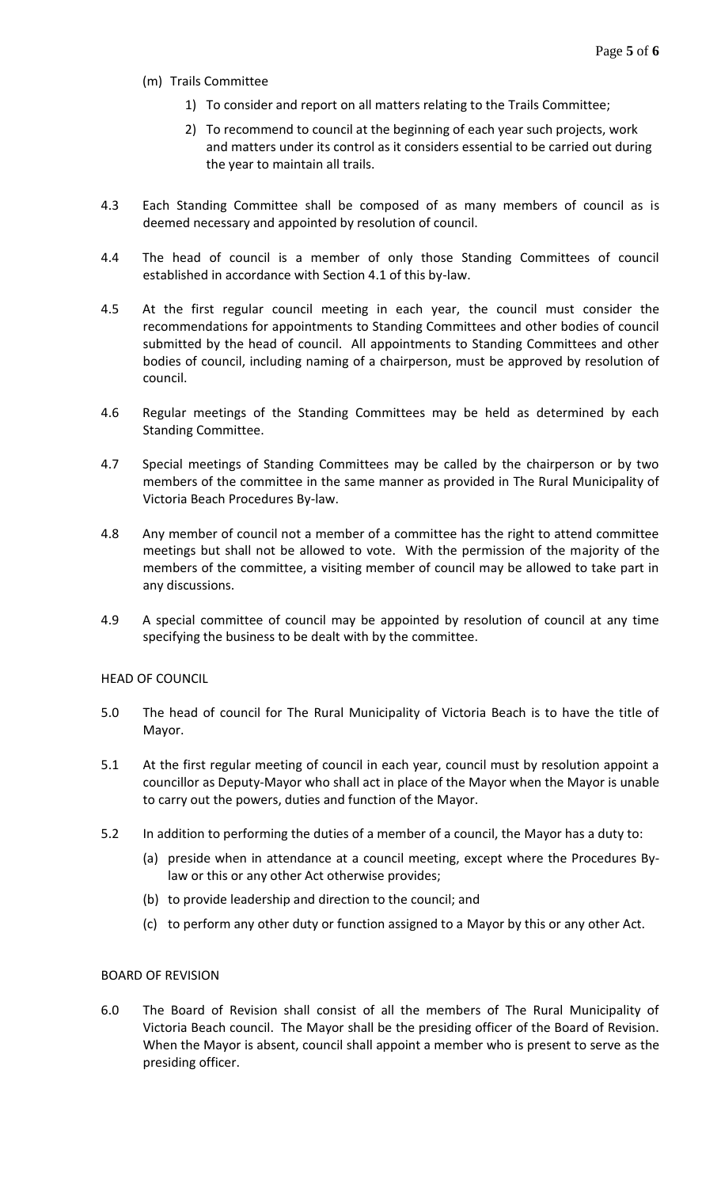- (m) Trails Committee
	- 1) To consider and report on all matters relating to the Trails Committee;
	- 2) To recommend to council at the beginning of each year such projects, work and matters under its control as it considers essential to be carried out during the year to maintain all trails.
- 4.3 Each Standing Committee shall be composed of as many members of council as is deemed necessary and appointed by resolution of council.
- 4.4 The head of council is a member of only those Standing Committees of council established in accordance with Section 4.1 of this by-law.
- 4.5 At the first regular council meeting in each year, the council must consider the recommendations for appointments to Standing Committees and other bodies of council submitted by the head of council. All appointments to Standing Committees and other bodies of council, including naming of a chairperson, must be approved by resolution of council.
- 4.6 Regular meetings of the Standing Committees may be held as determined by each Standing Committee.
- 4.7 Special meetings of Standing Committees may be called by the chairperson or by two members of the committee in the same manner as provided in The Rural Municipality of Victoria Beach Procedures By-law.
- 4.8 Any member of council not a member of a committee has the right to attend committee meetings but shall not be allowed to vote. With the permission of the majority of the members of the committee, a visiting member of council may be allowed to take part in any discussions.
- 4.9 A special committee of council may be appointed by resolution of council at any time specifying the business to be dealt with by the committee.

#### HEAD OF COUNCIL

- 5.0 The head of council for The Rural Municipality of Victoria Beach is to have the title of Mayor.
- 5.1 At the first regular meeting of council in each year, council must by resolution appoint a councillor as Deputy-Mayor who shall act in place of the Mayor when the Mayor is unable to carry out the powers, duties and function of the Mayor.
- 5.2 In addition to performing the duties of a member of a council, the Mayor has a duty to:
	- (a) preside when in attendance at a council meeting, except where the Procedures Bylaw or this or any other Act otherwise provides;
	- (b) to provide leadership and direction to the council; and
	- (c) to perform any other duty or function assigned to a Mayor by this or any other Act.

#### BOARD OF REVISION

6.0 The Board of Revision shall consist of all the members of The Rural Municipality of Victoria Beach council. The Mayor shall be the presiding officer of the Board of Revision. When the Mayor is absent, council shall appoint a member who is present to serve as the presiding officer.